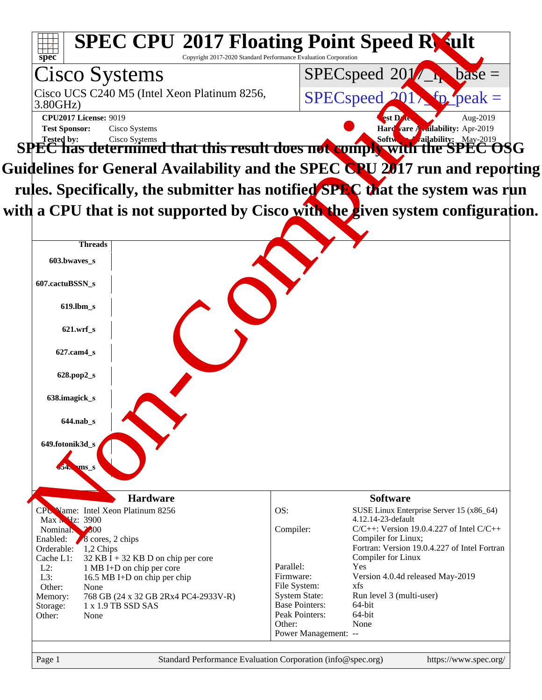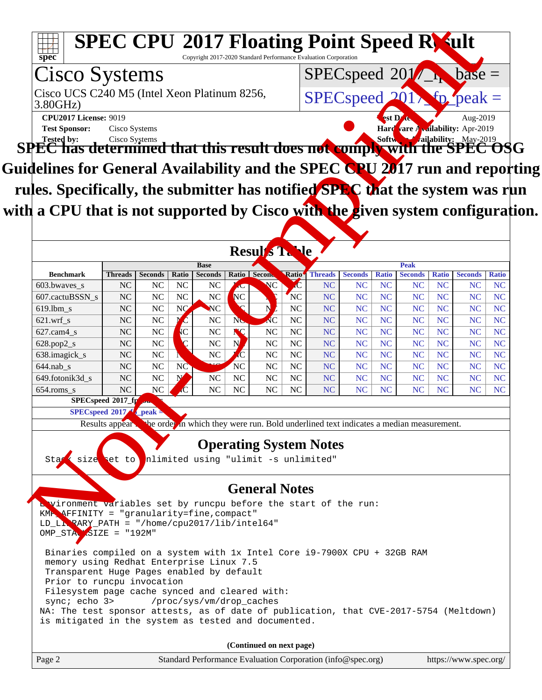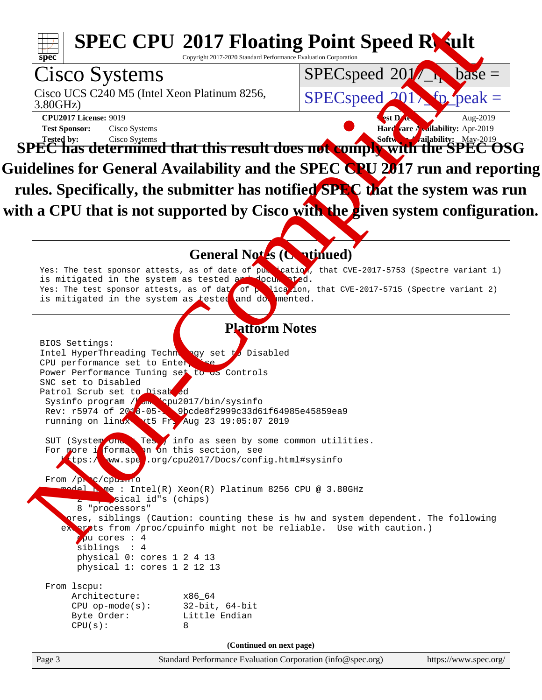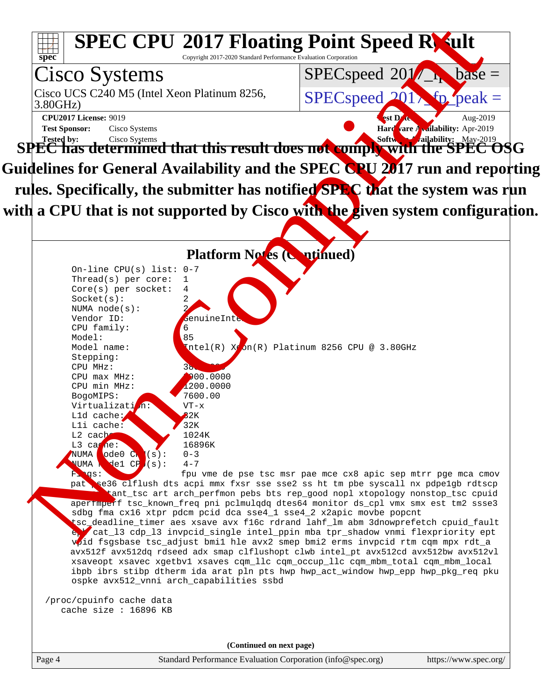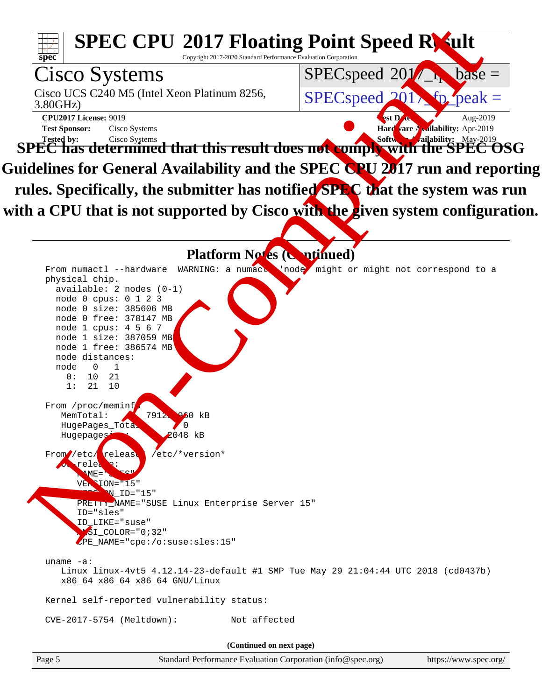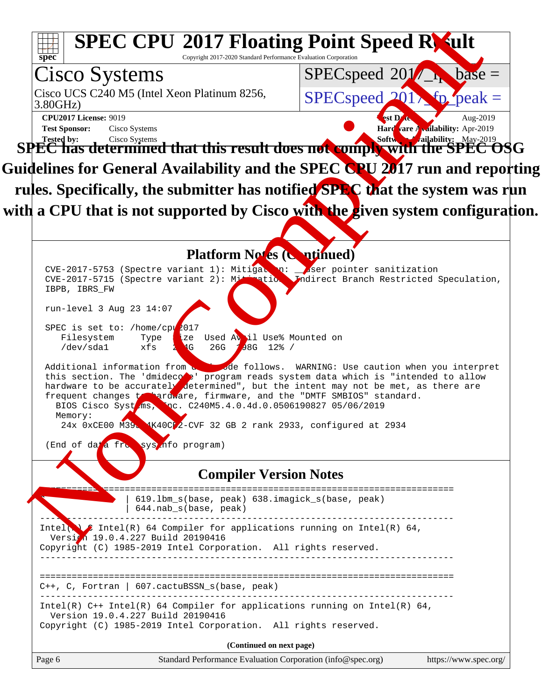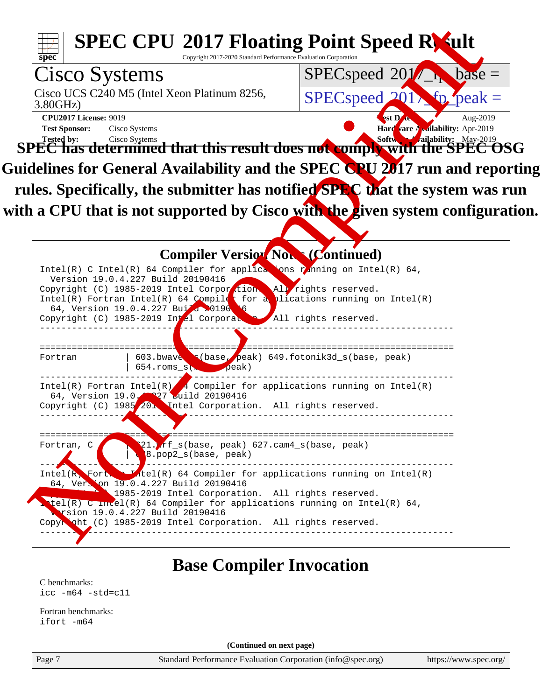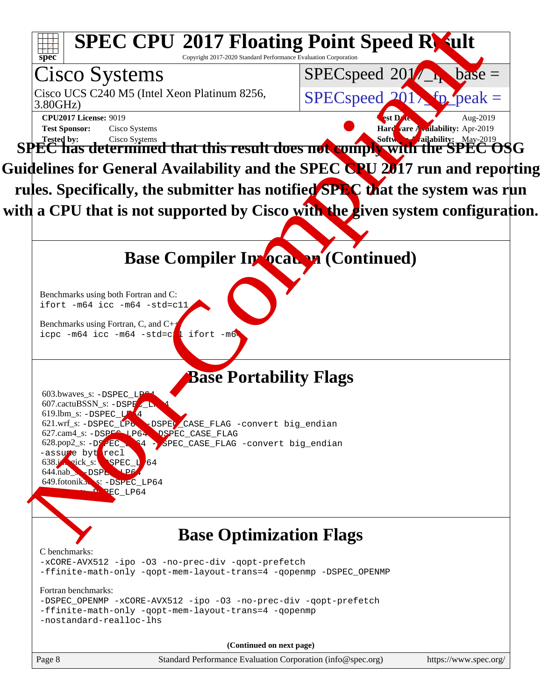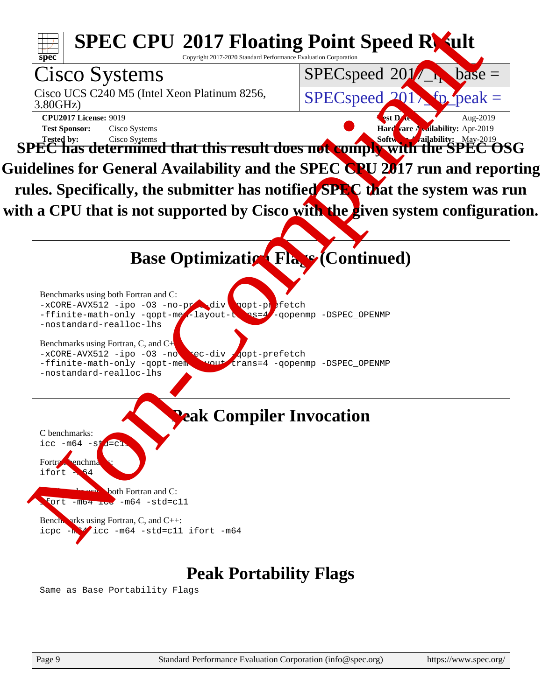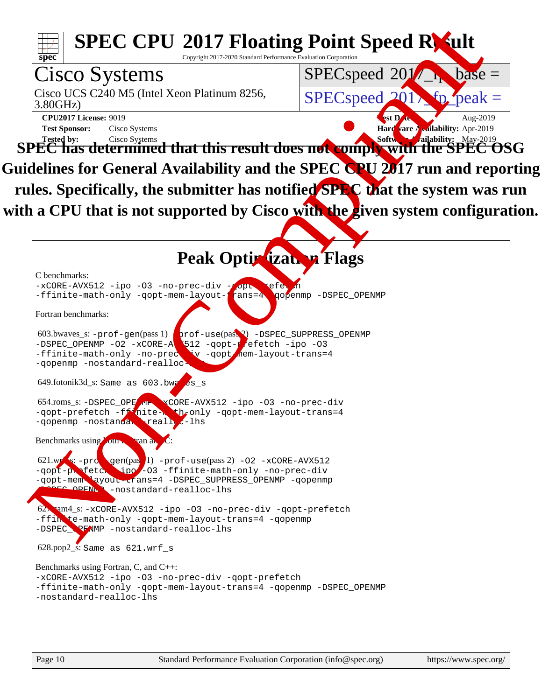